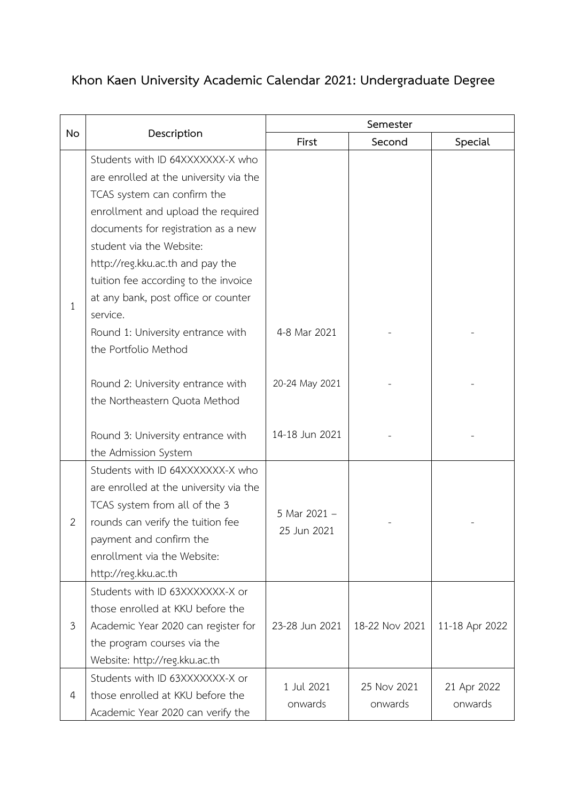## **Khon Kaen University Academic Calendar 2021: Undergraduate Degree**

| <b>No</b>      | Description                                                                                                                                                                                                                                                                                                                                                                                                    | Semester                    |                        |                        |
|----------------|----------------------------------------------------------------------------------------------------------------------------------------------------------------------------------------------------------------------------------------------------------------------------------------------------------------------------------------------------------------------------------------------------------------|-----------------------------|------------------------|------------------------|
|                |                                                                                                                                                                                                                                                                                                                                                                                                                | First                       | Second                 | Special                |
| $\mathbf{1}$   | Students with ID 64XXXXXXX-X who<br>are enrolled at the university via the<br>TCAS system can confirm the<br>enrollment and upload the required<br>documents for registration as a new<br>student via the Website:<br>http://reg.kku.ac.th and pay the<br>tuition fee according to the invoice<br>at any bank, post office or counter<br>service.<br>Round 1: University entrance with<br>the Portfolio Method | 4-8 Mar 2021                |                        |                        |
|                | Round 2: University entrance with<br>the Northeastern Quota Method                                                                                                                                                                                                                                                                                                                                             | 20-24 May 2021              |                        |                        |
|                | Round 3: University entrance with<br>the Admission System                                                                                                                                                                                                                                                                                                                                                      | 14-18 Jun 2021              |                        |                        |
| $\overline{2}$ | Students with ID 64XXXXXXX-X who<br>are enrolled at the university via the<br>TCAS system from all of the 3<br>rounds can verify the tuition fee<br>payment and confirm the<br>enrollment via the Website:<br>http://reg.kku.ac.th                                                                                                                                                                             | 5 Mar 2021 -<br>25 Jun 2021 |                        |                        |
| 3              | Students with ID 63XXXXXXX-X or<br>those enrolled at KKU before the<br>Academic Year 2020 can register for<br>the program courses via the<br>Website: http://reg.kku.ac.th                                                                                                                                                                                                                                     | 23-28 Jun 2021              | 18-22 Nov 2021         | 11-18 Apr 2022         |
| 4              | Students with ID 63XXXXXXX-X or<br>those enrolled at KKU before the<br>Academic Year 2020 can verify the                                                                                                                                                                                                                                                                                                       | 1 Jul 2021<br>onwards       | 25 Nov 2021<br>onwards | 21 Apr 2022<br>onwards |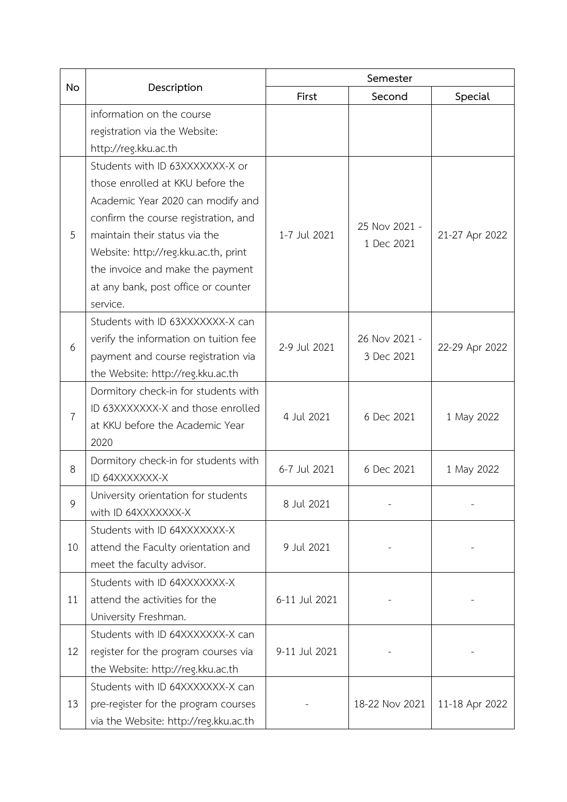| No             | Description                           | Semester      |                             |                |
|----------------|---------------------------------------|---------------|-----------------------------|----------------|
|                |                                       | First         | Second                      | Special        |
|                | information on the course             |               |                             |                |
|                | registration via the Website:         |               |                             |                |
|                | http://reg.kku.ac.th                  |               |                             |                |
|                | Students with ID 63XXXXXXX-X or       |               |                             |                |
|                | those enrolled at KKU before the      |               |                             |                |
|                | Academic Year 2020 can modify and     |               | 25 Nov 2021 -<br>1 Dec 2021 | 21-27 Apr 2022 |
|                | confirm the course registration, and  |               |                             |                |
| 5              | maintain their status via the         | 1-7 Jul 2021  |                             |                |
|                | Website: http://reg.kku.ac.th, print  |               |                             |                |
|                | the invoice and make the payment      |               |                             |                |
|                | at any bank, post office or counter   |               |                             |                |
|                | service.                              |               |                             |                |
|                | Students with ID 63XXXXXXX-X can      |               | 26 Nov 2021 -<br>3 Dec 2021 | 22-29 Apr 2022 |
| 6              | verify the information on tuition fee | 2-9 Jul 2021  |                             |                |
|                | payment and course registration via   |               |                             |                |
|                | the Website: http://reg.kku.ac.th     |               |                             |                |
|                | Dormitory check-in for students with  | 4 Jul 2021    | 6 Dec 2021                  | 1 May 2022     |
|                | ID 63XXXXXXX-X and those enrolled     |               |                             |                |
| $\overline{7}$ | at KKU before the Academic Year       |               |                             |                |
|                | 2020                                  |               |                             |                |
| 8              | Dormitory check-in for students with  |               | 6 Dec 2021                  |                |
|                | ID 64XXXXXXX-X                        | 6-7 Jul 2021  |                             | 1 May 2022     |
| 9              | University orientation for students   |               |                             |                |
|                | with ID 64XXXXXXX-X                   | 8 Jul 2021    |                             |                |
|                | Students with ID 64XXXXXXX-X          |               |                             |                |
| 10             | attend the Faculty orientation and    | 9 Jul 2021    |                             |                |
|                | meet the faculty advisor.             |               |                             |                |
|                | Students with ID 64XXXXXXX-X          |               |                             |                |
| 11             | attend the activities for the         | 6-11 Jul 2021 |                             |                |
|                | University Freshman.                  |               |                             |                |
| 12             | Students with ID 64XXXXXXX-X can      |               |                             |                |
|                | register for the program courses via  | 9-11 Jul 2021 |                             |                |
|                | the Website: http://reg.kku.ac.th     |               |                             |                |
| 13             | Students with ID 64XXXXXXX-X can      |               | 18-22 Nov 2021              | 11-18 Apr 2022 |
|                | pre-register for the program courses  |               |                             |                |
|                | via the Website: http://reg.kku.ac.th |               |                             |                |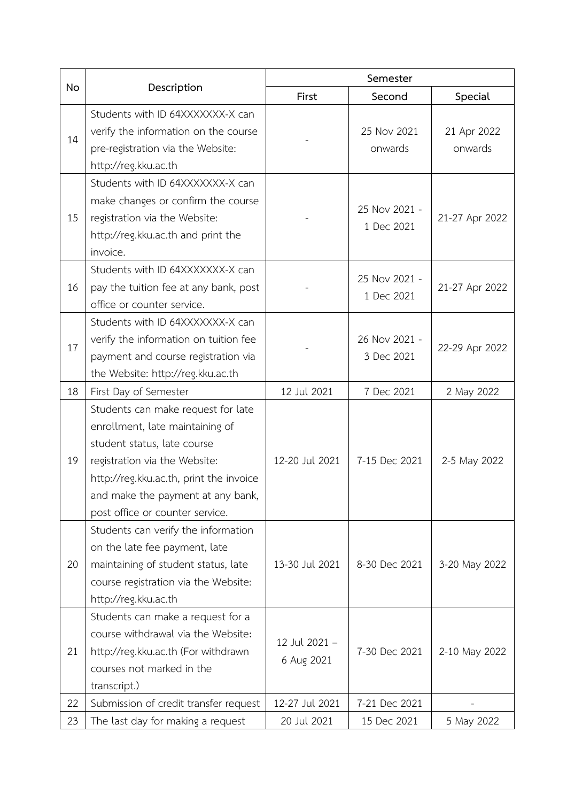| No | Description                             | Semester                    |                             |                |
|----|-----------------------------------------|-----------------------------|-----------------------------|----------------|
|    |                                         | First                       | Second                      | Special        |
| 14 | Students with ID 64XXXXXXX-X can        |                             |                             |                |
|    | verify the information on the course    |                             | 25 Nov 2021                 | 21 Apr 2022    |
|    | pre-registration via the Website:       |                             | onwards                     | onwards        |
|    | http://reg.kku.ac.th                    |                             |                             |                |
|    | Students with ID 64XXXXXXX-X can        |                             | 25 Nov 2021 -<br>1 Dec 2021 | 21-27 Apr 2022 |
|    | make changes or confirm the course      |                             |                             |                |
| 15 | registration via the Website:           |                             |                             |                |
|    | http://reg.kku.ac.th and print the      |                             |                             |                |
|    | invoice.                                |                             |                             |                |
|    | Students with ID 64XXXXXXX-X can        |                             | 25 Nov 2021 -<br>1 Dec 2021 | 21-27 Apr 2022 |
| 16 | pay the tuition fee at any bank, post   |                             |                             |                |
|    | office or counter service.              |                             |                             |                |
|    | Students with ID 64XXXXXXX-X can        |                             |                             |                |
| 17 | verify the information on tuition fee   |                             | 26 Nov 2021 -<br>3 Dec 2021 |                |
|    | payment and course registration via     |                             |                             | 22-29 Apr 2022 |
|    | the Website: http://reg.kku.ac.th       |                             |                             |                |
| 18 | First Day of Semester                   | 12 Jul 2021                 | 7 Dec 2021                  | 2 May 2022     |
|    | Students can make request for late      |                             |                             |                |
|    | enrollment, late maintaining of         |                             |                             |                |
|    | student status, late course             |                             |                             |                |
| 19 | registration via the Website:           | 12-20 Jul 2021              | 7-15 Dec 2021               | 2-5 May 2022   |
|    | http://reg.kku.ac.th, print the invoice |                             |                             |                |
|    | and make the payment at any bank,       |                             |                             |                |
|    | post office or counter service.         |                             |                             |                |
|    | Students can verify the information     |                             |                             |                |
|    | on the late fee payment, late           |                             |                             |                |
| 20 | maintaining of student status, late     | 13-30 Jul 2021              | 8-30 Dec 2021               | 3-20 May 2022  |
|    | course registration via the Website:    |                             |                             |                |
|    | http://reg.kku.ac.th                    |                             |                             |                |
|    | Students can make a request for a       | 12 Jul 2021 -<br>6 Aug 2021 | 7-30 Dec 2021               |                |
| 21 | course withdrawal via the Website:      |                             |                             |                |
|    | http://reg.kku.ac.th (For withdrawn     |                             |                             | 2-10 May 2022  |
|    | courses not marked in the               |                             |                             |                |
|    | transcript.)                            |                             |                             |                |
| 22 | Submission of credit transfer request   | 12-27 Jul 2021              | 7-21 Dec 2021               |                |
| 23 | The last day for making a request       | 20 Jul 2021                 | 15 Dec 2021                 | 5 May 2022     |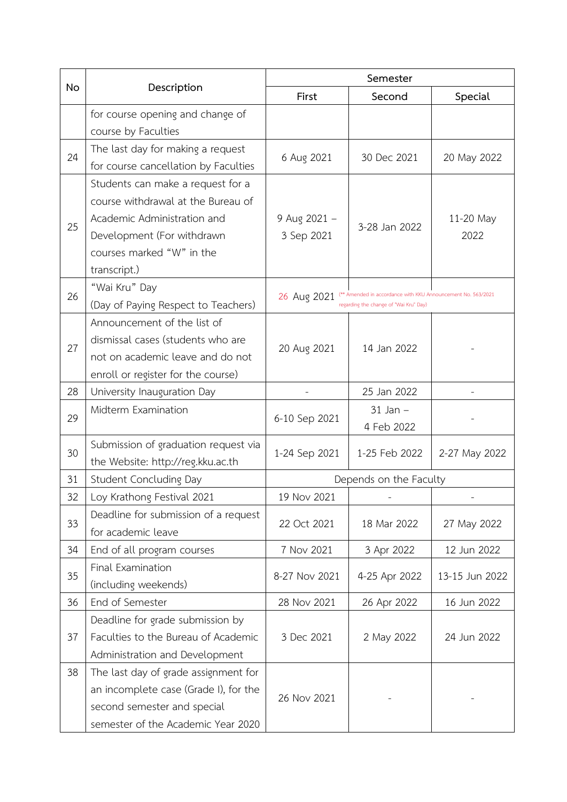| <b>No</b> | Description                           | Semester                                                                                                              |               |                |
|-----------|---------------------------------------|-----------------------------------------------------------------------------------------------------------------------|---------------|----------------|
|           |                                       | First                                                                                                                 | Second        | Special        |
|           | for course opening and change of      |                                                                                                                       |               |                |
|           | course by Faculties                   |                                                                                                                       |               |                |
| 24        | The last day for making a request     |                                                                                                                       |               |                |
|           | for course cancellation by Faculties  | 6 Aug 2021                                                                                                            | 30 Dec 2021   | 20 May 2022    |
|           | Students can make a request for a     |                                                                                                                       |               |                |
|           | course withdrawal at the Bureau of    |                                                                                                                       |               |                |
| 25        | Academic Administration and           | 9 Aug 2021 -                                                                                                          |               | 11-20 May      |
|           | Development (For withdrawn            | 3 Sep 2021                                                                                                            | 3-28 Jan 2022 | 2022           |
|           | courses marked "W" in the             |                                                                                                                       |               |                |
|           | transcript.)                          |                                                                                                                       |               |                |
| 26        | "Wai Kru" Day                         |                                                                                                                       |               |                |
|           | (Day of Paying Respect to Teachers)   | (** Amended in accordance with KKU Announcement No. 563/2021<br>26 Aug 2021<br>regarding the change of "Wai Kru" Day) |               |                |
|           | Announcement of the list of           |                                                                                                                       |               |                |
|           | dismissal cases (students who are     |                                                                                                                       | 14 Jan 2022   |                |
| 27        | not on academic leave and do not      | 20 Aug 2021                                                                                                           |               |                |
|           | enroll or register for the course)    |                                                                                                                       |               |                |
| 28        | University Inauguration Day           |                                                                                                                       | 25 Jan 2022   |                |
|           | Midterm Examination                   | 6-10 Sep 2021                                                                                                         | $31$ Jan $-$  |                |
| 29        |                                       |                                                                                                                       | 4 Feb 2022    |                |
| 30        | Submission of graduation request via  |                                                                                                                       | 1-25 Feb 2022 | 2-27 May 2022  |
|           | the Website: http://reg.kku.ac.th     | 1-24 Sep 2021                                                                                                         |               |                |
| 31        | Student Concluding Day                | Depends on the Faculty                                                                                                |               |                |
| 32        | Loy Krathong Festival 2021            | 19 Nov 2021                                                                                                           |               |                |
|           | Deadline for submission of a request  |                                                                                                                       |               |                |
| 33        | for academic leave                    | 22 Oct 2021                                                                                                           | 18 Mar 2022   | 27 May 2022    |
| 34        | End of all program courses            | 7 Nov 2021                                                                                                            | 3 Apr 2022    | 12 Jun 2022    |
|           | Final Examination                     |                                                                                                                       |               |                |
| 35        | (including weekends)                  | 8-27 Nov 2021                                                                                                         | 4-25 Apr 2022 | 13-15 Jun 2022 |
| 36        | End of Semester                       | 28 Nov 2021                                                                                                           | 26 Apr 2022   | 16 Jun 2022    |
|           | Deadline for grade submission by      |                                                                                                                       |               |                |
| 37        | Faculties to the Bureau of Academic   | 3 Dec 2021                                                                                                            | 2 May 2022    | 24 Jun 2022    |
|           | Administration and Development        |                                                                                                                       |               |                |
| 38        | The last day of grade assignment for  | 26 Nov 2021                                                                                                           |               |                |
|           | an incomplete case (Grade I), for the |                                                                                                                       |               |                |
|           | second semester and special           |                                                                                                                       |               |                |
|           | semester of the Academic Year 2020    |                                                                                                                       |               |                |